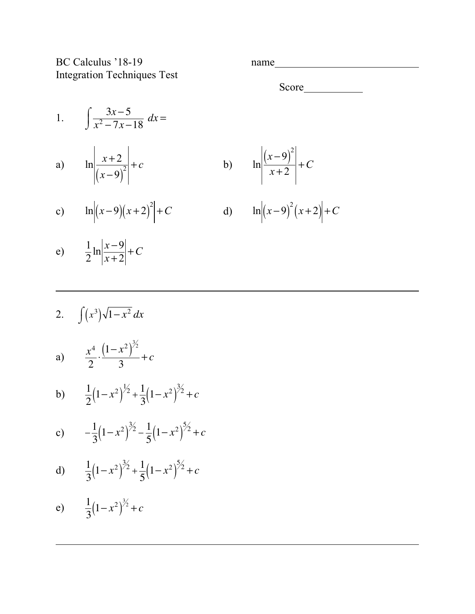BC Calculus '18-19 name Integration Techniques Test

Score

1. 
$$
\int \frac{3x-5}{x^2 - 7x - 18} dx =
$$

a) 
$$
\ln \left| \frac{x+2}{(x-9)^2} \right| + c
$$
 b)  $\ln \left| \frac{(x-9)}{x+2} \right|$ 

c) 
$$
\ln |(x-9)(x+2)|^2 + C
$$
 d)  $\ln |(x-9)|$ 

$$
\ln \left| \frac{(x-9)^2}{x+2} \right| + C
$$

$$
\ln\left|(x-9)^2\left(x+2\right)\right|+C
$$

$$
e) \qquad \frac{1}{2} \ln \left| \frac{x-9}{x+2} \right| + C
$$

2. 
$$
\int (x^3)\sqrt{1-x^2} dx
$$
  
\na) 
$$
\frac{x^4}{2} \cdot \frac{(1-x^2)^{3/2}}{3} + c
$$
  
\nb) 
$$
\frac{1}{2}(1-x^2)^{1/2} + \frac{1}{3}(1-x^2)^{3/2} + c
$$
  
\nc) 
$$
-\frac{1}{3}(1-x^2)^{3/2} - \frac{1}{5}(1-x^2)^{5/2} + c
$$
  
\nd) 
$$
\frac{1}{3}(1-x^2)^{3/2} + \frac{1}{5}(1-x^2)^{5/2} + c
$$
  
\ne) 
$$
\frac{1}{3}(1-x^2)^{3/2} + c
$$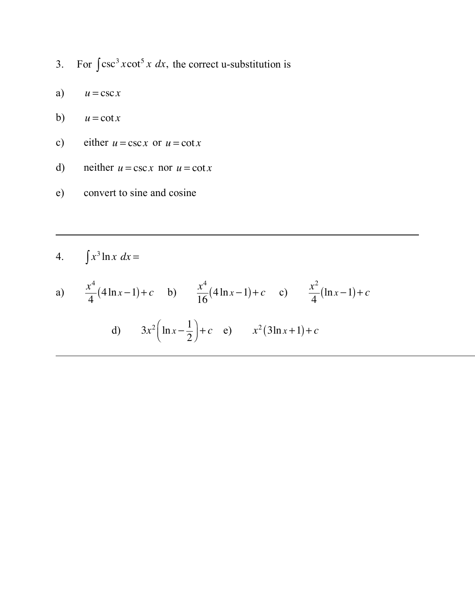- 3. For  $\int \csc^3 x \cot^5 x \, dx$ , the correct u-substitution is
- a)  $u = \csc x$
- b)  $u = \cot x$
- c) either  $u = \csc x$  or  $u = \cot x$
- d) neither  $u = \csc x$  nor  $u = \cot x$
- e) convert to sine and cosine

$$
4. \qquad \int x^3 \ln x \ dx =
$$

a) 
$$
\frac{x^4}{4}(4\ln x - 1) + c
$$
 b)  $\frac{x^4}{16}(4\ln x - 1) + c$  c)  $\frac{x^2}{4}(\ln x - 1) + c$   
d)  $3x^2(\ln x - \frac{1}{2}) + c$  e)  $x^2(3\ln x + 1) + c$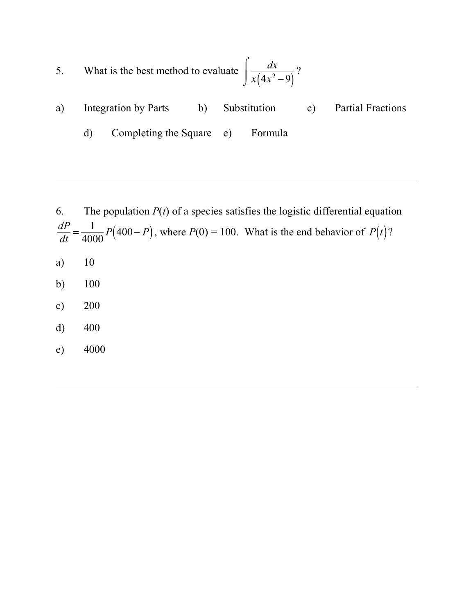5. What is the best method to evaluate 
$$
\int \frac{dx}{x(4x^2-9)}
$$
?

- a) Integration by Parts b) Substitution c) Partial Fractions
	- d) Completing the Square e) Formula

6. The population  $P(t)$  of a species satisfies the logistic differential equation  $\frac{dP}{dt} = \frac{1}{4000} P(400 - P)$ , where  $P(0) = 100$ . What is the end behavior of  $P(t)$ ? a) 10 b) 100

- c) 200
- d) 400
- e) 4000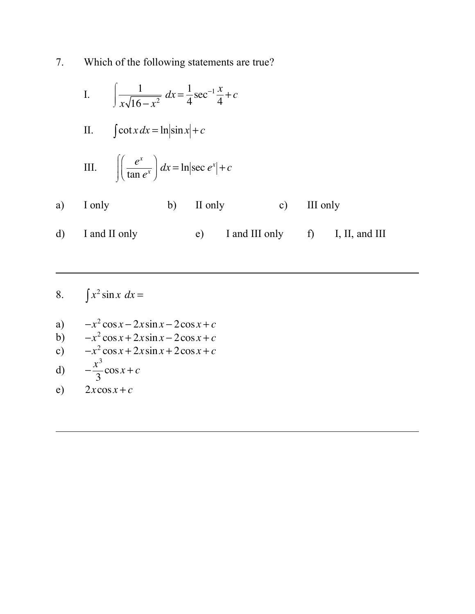Which of the following statements are true? 7.

I. 
$$
\int \frac{1}{x\sqrt{16-x^2}} dx = \frac{1}{4} \sec^{-1} \frac{x}{4} + c
$$

II. 
$$
\int \cot x \, dx = \ln|\sin x| + c
$$

III. 
$$
\int \left(\frac{e^x}{\tan e^x}\right) dx = \ln|\sec e^x| + c
$$

- II only I only III only  $b)$  $c)$  $a)$
- I and II only I and III only I, II, and III  $\mathbf{d}$  $e)$  $f$
- $\int x^2 \sin x \, dx =$ 8.
- $-x^2$  cos  $x 2x \sin x 2 \cos x + c$  $a)$
- $-x^2 \cos x + 2x \sin x 2\cos x + c$  $b)$
- $-x^2 \cos x + 2x \sin x + 2 \cos x + c$  $c)$

d) 
$$
-\frac{x^3}{3}\cos x + c
$$

 $2x\cos x + c$  $e)$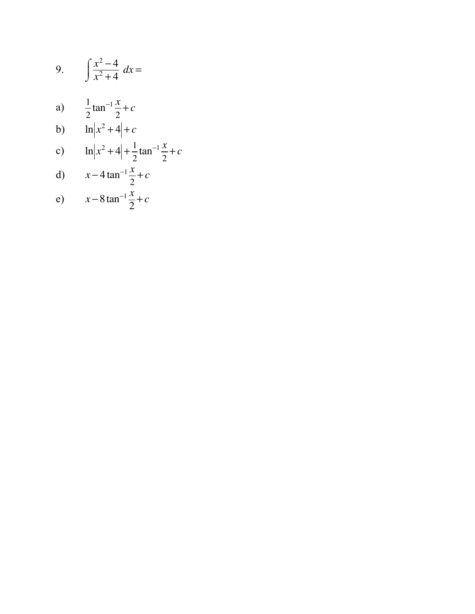9. 
$$
\int \frac{x^2 - 4}{x^2 + 4} dx =
$$
  
\na) 
$$
\frac{1}{2} \tan^{-1} \frac{x}{2} + c
$$
  
\nb) 
$$
\ln |x^2 + 4| + c
$$
  
\nc) 
$$
\ln |x^2 + 4| + \frac{1}{2} \tan^{-1} \frac{x}{2} + c
$$
  
\nd) 
$$
x - 4 \tan^{-1} \frac{x}{2} + c
$$
  
\ne) 
$$
x - 8 \tan^{-1} \frac{x}{2} + c
$$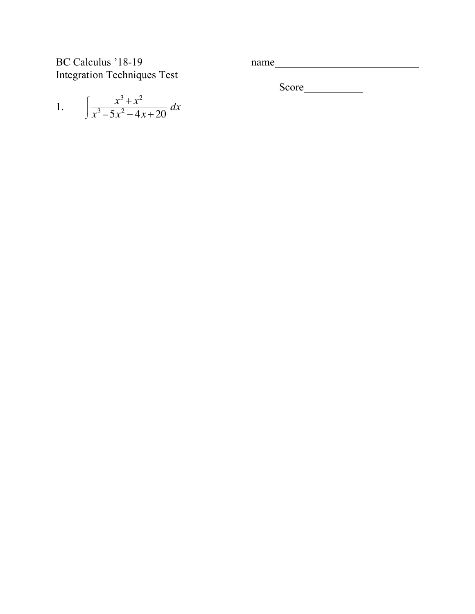BC Calculus '18-1 Integration Techniques Test 9 name

Score

1. 
$$
\int \frac{x^3 + x^2}{x^3 - 5x^2 - 4x + 20} dx
$$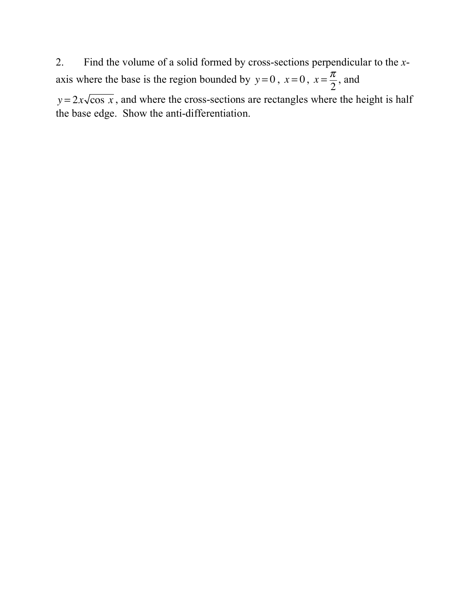2. Find the volume of a solid formed by cross-sections perpendicular to the *x*axis where the base is the region bounded by  $y=0$ ,  $x=0$ ,  $x=\frac{\pi}{2}$ , and 2

 $y = 2x\sqrt{\cos x}$ , and where the cross-sections are rectangles where the height is half the base edge. Show the anti-differentiation.